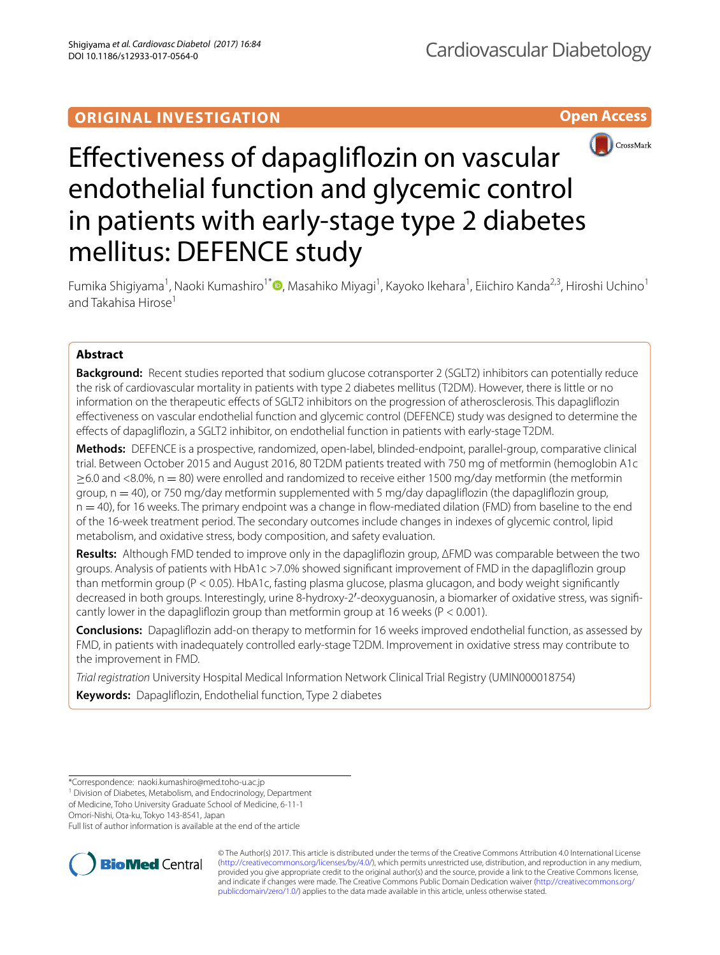# **ORIGINAL INVESTIGATION**

**Open Access**



# Efectiveness of dapaglifozin on vascular endothelial function and glycemic control in patients with early-stage type 2 diabetes mellitus: DEFENCE study

Fumika Shigiyama<sup>1</sup>, Naoki Kumashiro<sup>1[\\*](http://orcid.org/0000-0002-5432-3599)</sup>®, Masahiko Miyagi<sup>1</sup>, Kayoko Ikehara<sup>1</sup>, Eiichiro Kanda<sup>2,3</sup>, Hiroshi Uchino<sup>1</sup> and Takahisa Hirose<sup>1</sup>

# **Abstract**

**Background:** Recent studies reported that sodium glucose cotransporter 2 (SGLT2) inhibitors can potentially reduce the risk of cardiovascular mortality in patients with type 2 diabetes mellitus (T2DM). However, there is little or no information on the therapeutic efects of SGLT2 inhibitors on the progression of atherosclerosis. This dapaglifozin efectiveness on vascular endothelial function and glycemic control (DEFENCE) study was designed to determine the efects of dapaglifozin, a SGLT2 inhibitor, on endothelial function in patients with early-stage T2DM.

**Methods:** DEFENCE is a prospective, randomized, open-label, blinded-endpoint, parallel-group, comparative clinical trial. Between October 2015 and August 2016, 80 T2DM patients treated with 750 mg of metformin (hemoglobin A1c ≥6.0 and <8.0%, n = 80) were enrolled and randomized to receive either 1500 mg/day metformin (the metformin group,  $n = 40$ ), or 750 mg/day metformin supplemented with 5 mg/day dapagliflozin (the dapagliflozin group, n = 40), for 16 weeks. The primary endpoint was a change in flow-mediated dilation (FMD) from baseline to the end of the 16-week treatment period. The secondary outcomes include changes in indexes of glycemic control, lipid metabolism, and oxidative stress, body composition, and safety evaluation.

**Results:** Although FMD tended to improve only in the dapaglifozin group, ΔFMD was comparable between the two groups. Analysis of patients with HbA1c >7.0% showed signifcant improvement of FMD in the dapaglifozin group than metformin group (P < 0.05). HbA1c, fasting plasma glucose, plasma glucagon, and body weight signifcantly decreased in both groups. Interestingly, urine 8-hydroxy-2′-deoxyguanosin, a biomarker of oxidative stress, was signifcantly lower in the dapagliflozin group than metformin group at 16 weeks ( $P < 0.001$ ).

**Conclusions:** Dapaglifozin add-on therapy to metformin for 16 weeks improved endothelial function, as assessed by FMD, in patients with inadequately controlled early-stage T2DM. Improvement in oxidative stress may contribute to the improvement in FMD.

*Trial registration* University Hospital Medical Information Network Clinical Trial Registry (UMIN000018754)

**Keywords:** Dapaglifozin, Endothelial function, Type 2 diabetes

of Medicine, Toho University Graduate School of Medicine, 6-11-1

Omori-Nishi, Ota-ku, Tokyo 143-8541, Japan

Full list of author information is available at the end of the article



© The Author(s) 2017. This article is distributed under the terms of the Creative Commons Attribution 4.0 International License [\(http://creativecommons.org/licenses/by/4.0/\)](http://creativecommons.org/licenses/by/4.0/), which permits unrestricted use, distribution, and reproduction in any medium, provided you give appropriate credit to the original author(s) and the source, provide a link to the Creative Commons license, and indicate if changes were made. The Creative Commons Public Domain Dedication waiver ([http://creativecommons.org/](http://creativecommons.org/publicdomain/zero/1.0/) [publicdomain/zero/1.0/](http://creativecommons.org/publicdomain/zero/1.0/)) applies to the data made available in this article, unless otherwise stated.

<sup>\*</sup>Correspondence: naoki.kumashiro@med.toho-u.ac.jp 1

<sup>&</sup>lt;sup>1</sup> Division of Diabetes, Metabolism, and Endocrinology, Department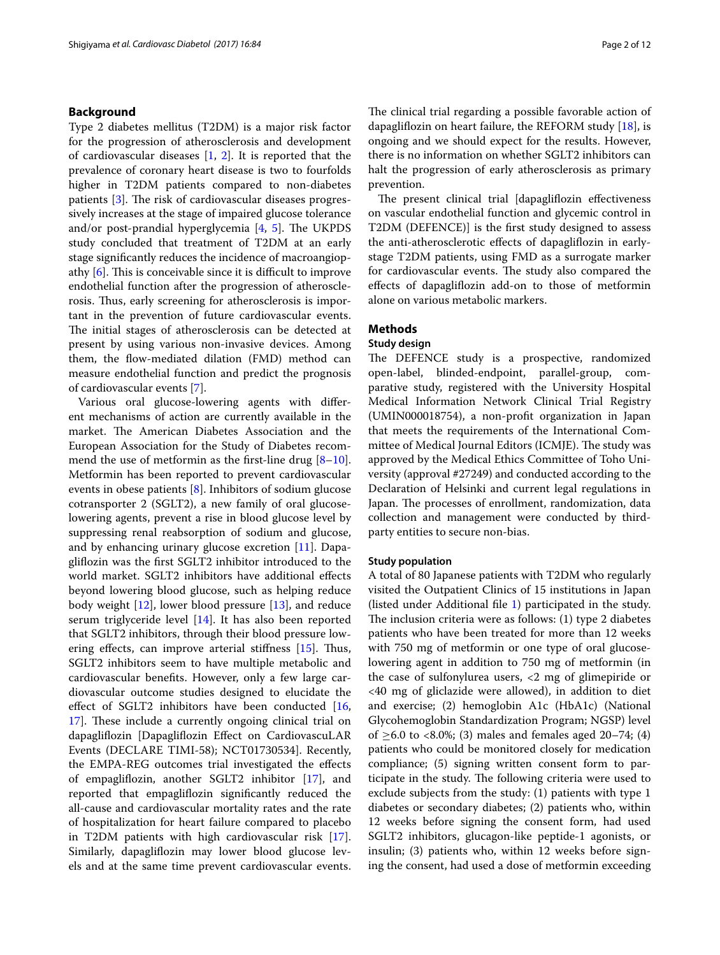# **Background**

Type 2 diabetes mellitus (T2DM) is a major risk factor for the progression of atherosclerosis and development of cardiovascular diseases  $[1, 2]$  $[1, 2]$  $[1, 2]$  $[1, 2]$ . It is reported that the prevalence of coronary heart disease is two to fourfolds higher in T2DM patients compared to non-diabetes patients  $[3]$  $[3]$  $[3]$ . The risk of cardiovascular diseases progressively increases at the stage of impaired glucose tolerance and/or post-prandial hyperglycemia  $[4, 5]$  $[4, 5]$  $[4, 5]$  $[4, 5]$ . The UKPDS study concluded that treatment of T2DM at an early stage signifcantly reduces the incidence of macroangiopathy  $[6]$  $[6]$ . This is conceivable since it is difficult to improve endothelial function after the progression of atherosclerosis. Thus, early screening for atherosclerosis is important in the prevention of future cardiovascular events. The initial stages of atherosclerosis can be detected at present by using various non-invasive devices. Among them, the fow-mediated dilation (FMD) method can measure endothelial function and predict the prognosis of cardiovascular events [[7](#page-11-0)].

Various oral glucose-lowering agents with diferent mechanisms of action are currently available in the market. The American Diabetes Association and the European Association for the Study of Diabetes recommend the use of metformin as the first-line drug  $[8-10]$  $[8-10]$ . Metformin has been reported to prevent cardiovascular events in obese patients [\[8](#page-11-1)]. Inhibitors of sodium glucose cotransporter 2 (SGLT2), a new family of oral glucoselowering agents, prevent a rise in blood glucose level by suppressing renal reabsorption of sodium and glucose, and by enhancing urinary glucose excretion [[11\]](#page-11-3). Dapaglifozin was the frst SGLT2 inhibitor introduced to the world market. SGLT2 inhibitors have additional efects beyond lowering blood glucose, such as helping reduce body weight [[12\]](#page-11-4), lower blood pressure [\[13\]](#page-11-5), and reduce serum triglyceride level [\[14\]](#page-11-6). It has also been reported that SGLT2 inhibitors, through their blood pressure lowering effects, can improve arterial stiffness  $[15]$  $[15]$ . Thus, SGLT2 inhibitors seem to have multiple metabolic and cardiovascular benefts. However, only a few large cardiovascular outcome studies designed to elucidate the effect of SGLT2 inhibitors have been conducted [\[16](#page-11-8), 17. These include a currently ongoing clinical trial on dapaglifozin [Dapaglifozin Efect on CardiovascuLAR Events (DECLARE TIMI-58); NCT01730534]. Recently, the EMPA-REG outcomes trial investigated the efects of empaglifozin, another SGLT2 inhibitor [[17\]](#page-11-9), and reported that empaglifozin signifcantly reduced the all-cause and cardiovascular mortality rates and the rate of hospitalization for heart failure compared to placebo in T2DM patients with high cardiovascular risk [\[17](#page-11-9)]. Similarly, dapaglifozin may lower blood glucose levels and at the same time prevent cardiovascular events. The clinical trial regarding a possible favorable action of dapaglifozin on heart failure, the REFORM study [\[18](#page-11-10)], is ongoing and we should expect for the results. However, there is no information on whether SGLT2 inhibitors can halt the progression of early atherosclerosis as primary prevention.

The present clinical trial [dapagliflozin effectiveness on vascular endothelial function and glycemic control in T2DM (DEFENCE)] is the frst study designed to assess the anti-atherosclerotic efects of dapaglifozin in earlystage T2DM patients, using FMD as a surrogate marker for cardiovascular events. The study also compared the efects of dapaglifozin add-on to those of metformin alone on various metabolic markers.

# **Methods**

#### **Study design**

The DEFENCE study is a prospective, randomized open-label, blinded-endpoint, parallel-group, comparative study, registered with the University Hospital Medical Information Network Clinical Trial Registry (UMIN000018754), a non-proft organization in Japan that meets the requirements of the International Committee of Medical Journal Editors (ICMJE). The study was approved by the Medical Ethics Committee of Toho University (approval #27249) and conducted according to the Declaration of Helsinki and current legal regulations in Japan. The processes of enrollment, randomization, data collection and management were conducted by thirdparty entities to secure non-bias.

# **Study population**

A total of 80 Japanese patients with T2DM who regularly visited the Outpatient Clinics of 15 institutions in Japan (listed under Additional fle [1](#page-10-6)) participated in the study. The inclusion criteria were as follows:  $(1)$  type 2 diabetes patients who have been treated for more than 12 weeks with 750 mg of metformin or one type of oral glucoselowering agent in addition to 750 mg of metformin (in the case of sulfonylurea users, <2 mg of glimepiride or <40 mg of gliclazide were allowed), in addition to diet and exercise; (2) hemoglobin A1c (HbA1c) (National Glycohemoglobin Standardization Program; NGSP) level of ≥6.0 to <8.0%; (3) males and females aged 20–74; (4) patients who could be monitored closely for medication compliance; (5) signing written consent form to participate in the study. The following criteria were used to exclude subjects from the study: (1) patients with type 1 diabetes or secondary diabetes; (2) patients who, within 12 weeks before signing the consent form, had used SGLT2 inhibitors, glucagon-like peptide-1 agonists, or insulin; (3) patients who, within 12 weeks before signing the consent, had used a dose of metformin exceeding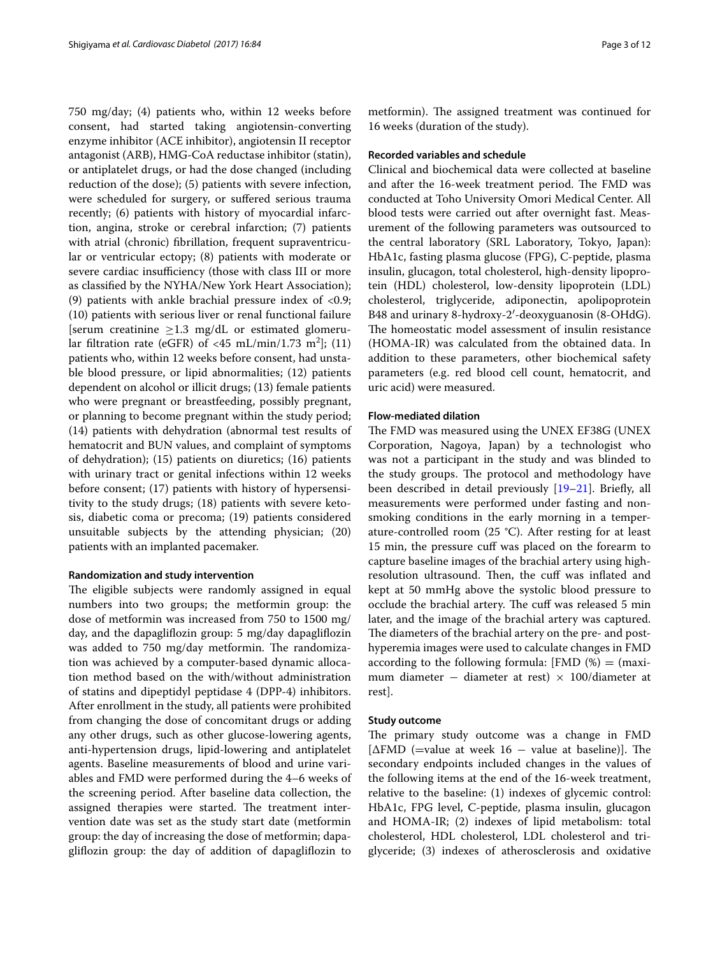750 mg/day; (4) patients who, within 12 weeks before consent, had started taking angiotensin-converting enzyme inhibitor (ACE inhibitor), angiotensin II receptor antagonist (ARB), HMG-CoA reductase inhibitor (statin), or antiplatelet drugs, or had the dose changed (including reduction of the dose); (5) patients with severe infection, were scheduled for surgery, or sufered serious trauma recently; (6) patients with history of myocardial infarction, angina, stroke or cerebral infarction; (7) patients with atrial (chronic) fbrillation, frequent supraventricular or ventricular ectopy; (8) patients with moderate or severe cardiac insufficiency (those with class III or more as classifed by the NYHA/New York Heart Association); (9) patients with ankle brachial pressure index of  $< 0.9$ ; (10) patients with serious liver or renal functional failure [serum creatinine  $\geq$ 1.3 mg/dL or estimated glomerular filtration rate (eGFR) of <45 mL/min/1.73  $m^2$ ]; (11) patients who, within 12 weeks before consent, had unstable blood pressure, or lipid abnormalities; (12) patients dependent on alcohol or illicit drugs; (13) female patients who were pregnant or breastfeeding, possibly pregnant, or planning to become pregnant within the study period; (14) patients with dehydration (abnormal test results of hematocrit and BUN values, and complaint of symptoms of dehydration); (15) patients on diuretics; (16) patients with urinary tract or genital infections within 12 weeks before consent; (17) patients with history of hypersensitivity to the study drugs; (18) patients with severe ketosis, diabetic coma or precoma; (19) patients considered unsuitable subjects by the attending physician; (20) patients with an implanted pacemaker.

#### **Randomization and study intervention**

The eligible subjects were randomly assigned in equal numbers into two groups; the metformin group: the dose of metformin was increased from 750 to 1500 mg/ day, and the dapaglifozin group: 5 mg/day dapaglifozin was added to 750 mg/day metformin. The randomization was achieved by a computer-based dynamic allocation method based on the with/without administration of statins and dipeptidyl peptidase 4 (DPP-4) inhibitors. After enrollment in the study, all patients were prohibited from changing the dose of concomitant drugs or adding any other drugs, such as other glucose-lowering agents, anti-hypertension drugs, lipid-lowering and antiplatelet agents. Baseline measurements of blood and urine variables and FMD were performed during the 4–6 weeks of the screening period. After baseline data collection, the assigned therapies were started. The treatment intervention date was set as the study start date (metformin group: the day of increasing the dose of metformin; dapaglifozin group: the day of addition of dapaglifozin to metformin). The assigned treatment was continued for 16 weeks (duration of the study).

#### **Recorded variables and schedule**

Clinical and biochemical data were collected at baseline and after the 16-week treatment period. The FMD was conducted at Toho University Omori Medical Center. All blood tests were carried out after overnight fast. Measurement of the following parameters was outsourced to the central laboratory (SRL Laboratory, Tokyo, Japan): HbA1c, fasting plasma glucose (FPG), C-peptide, plasma insulin, glucagon, total cholesterol, high-density lipoprotein (HDL) cholesterol, low-density lipoprotein (LDL) cholesterol, triglyceride, adiponectin, apolipoprotein B48 and urinary 8-hydroxy-2′-deoxyguanosin (8-OHdG). The homeostatic model assessment of insulin resistance (HOMA-IR) was calculated from the obtained data. In addition to these parameters, other biochemical safety parameters (e.g. red blood cell count, hematocrit, and uric acid) were measured.

#### **Flow‑mediated dilation**

The FMD was measured using the UNEX EF38G (UNEX Corporation, Nagoya, Japan) by a technologist who was not a participant in the study and was blinded to the study groups. The protocol and methodology have been described in detail previously [\[19](#page-11-11)–[21\]](#page-11-12). Briefly, all measurements were performed under fasting and nonsmoking conditions in the early morning in a temperature-controlled room (25 °C). After resting for at least 15 min, the pressure cuf was placed on the forearm to capture baseline images of the brachial artery using highresolution ultrasound. Then, the cuff was inflated and kept at 50 mmHg above the systolic blood pressure to occlude the brachial artery. The cuff was released 5 min later, and the image of the brachial artery was captured. The diameters of the brachial artery on the pre- and posthyperemia images were used to calculate changes in FMD according to the following formula: [FMD  $%$ ) = (maximum diameter  $-$  diameter at rest)  $\times$  100/diameter at rest].

#### **Study outcome**

The primary study outcome was a change in FMD [ $\Delta FMD$  (=value at week 16 - value at baseline)]. The secondary endpoints included changes in the values of the following items at the end of the 16-week treatment, relative to the baseline: (1) indexes of glycemic control: HbA1c, FPG level, C-peptide, plasma insulin, glucagon and HOMA-IR; (2) indexes of lipid metabolism: total cholesterol, HDL cholesterol, LDL cholesterol and triglyceride; (3) indexes of atherosclerosis and oxidative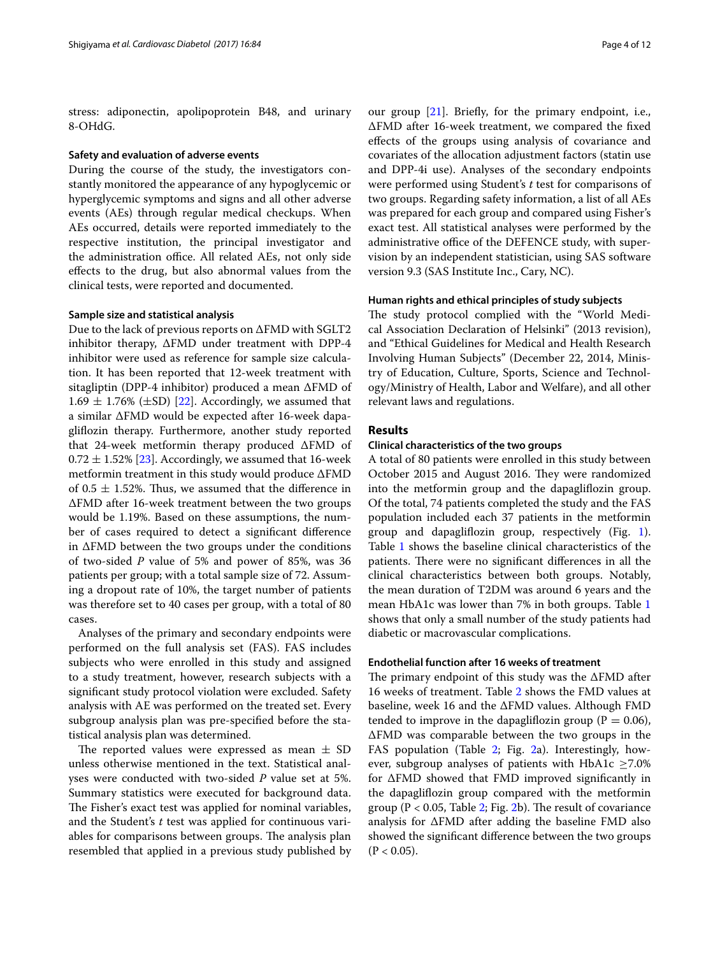stress: adiponectin, apolipoprotein B48, and urinary 8-OHdG.

#### **Safety and evaluation of adverse events**

During the course of the study, the investigators constantly monitored the appearance of any hypoglycemic or hyperglycemic symptoms and signs and all other adverse events (AEs) through regular medical checkups. When AEs occurred, details were reported immediately to the respective institution, the principal investigator and the administration office. All related AEs, not only side efects to the drug, but also abnormal values from the clinical tests, were reported and documented.

## **Sample size and statistical analysis**

Due to the lack of previous reports on ΔFMD with SGLT2 inhibitor therapy, ΔFMD under treatment with DPP-4 inhibitor were used as reference for sample size calculation. It has been reported that 12-week treatment with sitagliptin (DPP-4 inhibitor) produced a mean ∆FMD of 1.69  $\pm$  1.76% ( $\pm$ SD) [[22\]](#page-11-13). Accordingly, we assumed that a similar ∆FMD would be expected after 16-week dapaglifozin therapy. Furthermore, another study reported that 24-week metformin therapy produced ∆FMD of  $0.72 \pm 1.52\%$  [\[23\]](#page-11-14). Accordingly, we assumed that 16-week metformin treatment in this study would produce ∆FMD of 0.5  $\pm$  1.52%. Thus, we assumed that the difference in ∆FMD after 16-week treatment between the two groups would be 1.19%. Based on these assumptions, the number of cases required to detect a signifcant diference in ∆FMD between the two groups under the conditions of two-sided *P* value of 5% and power of 85%, was 36 patients per group; with a total sample size of 72. Assuming a dropout rate of 10%, the target number of patients was therefore set to 40 cases per group, with a total of 80 cases.

Analyses of the primary and secondary endpoints were performed on the full analysis set (FAS). FAS includes subjects who were enrolled in this study and assigned to a study treatment, however, research subjects with a signifcant study protocol violation were excluded. Safety analysis with AE was performed on the treated set. Every subgroup analysis plan was pre-specifed before the statistical analysis plan was determined.

The reported values were expressed as mean  $\pm$  SD unless otherwise mentioned in the text. Statistical analyses were conducted with two-sided *P* value set at 5%. Summary statistics were executed for background data. The Fisher's exact test was applied for nominal variables, and the Student's *t* test was applied for continuous variables for comparisons between groups. The analysis plan resembled that applied in a previous study published by our group [[21\]](#page-11-12). Briefy, for the primary endpoint, i.e., ∆FMD after 16-week treatment, we compared the fxed efects of the groups using analysis of covariance and covariates of the allocation adjustment factors (statin use and DPP-4i use). Analyses of the secondary endpoints were performed using Student's *t* test for comparisons of two groups. Regarding safety information, a list of all AEs was prepared for each group and compared using Fisher's exact test. All statistical analyses were performed by the administrative office of the DEFENCE study, with supervision by an independent statistician, using SAS software version 9.3 (SAS Institute Inc., Cary, NC).

#### **Human rights and ethical principles of study subjects**

The study protocol complied with the "World Medical Association Declaration of Helsinki" (2013 revision), and "Ethical Guidelines for Medical and Health Research Involving Human Subjects" (December 22, 2014, Ministry of Education, Culture, Sports, Science and Technology/Ministry of Health, Labor and Welfare), and all other relevant laws and regulations.

#### **Results**

#### **Clinical characteristics of the two groups**

A total of 80 patients were enrolled in this study between October 2015 and August 2016. They were randomized into the metformin group and the dapaglifozin group. Of the total, 74 patients completed the study and the FAS population included each 37 patients in the metformin group and dapaglifozin group, respectively (Fig. [1](#page-4-0)). Table [1](#page-5-0) shows the baseline clinical characteristics of the patients. There were no significant differences in all the clinical characteristics between both groups. Notably, the mean duration of T2DM was around 6 years and the mean HbA1c was lower than 7% in both groups. Table [1](#page-5-0) shows that only a small number of the study patients had diabetic or macrovascular complications.

#### **Endothelial function after 16 weeks of treatment**

The primary endpoint of this study was the  $\Delta FMD$  after 16 weeks of treatment. Table [2](#page-6-0) shows the FMD values at baseline, week 16 and the ΔFMD values. Although FMD tended to improve in the dapaglifiozin group ( $P = 0.06$ ), ΔFMD was comparable between the two groups in the FAS population (Table [2;](#page-6-0) Fig. [2](#page-6-1)a). Interestingly, however, subgroup analyses of patients with HbA1c  $\geq$ 7.0% for ΔFMD showed that FMD improved signifcantly in the dapaglifozin group compared with the metformin group ( $P < 0.05$ , Table [2](#page-6-1); Fig. 2b). The result of covariance analysis for ΔFMD after adding the baseline FMD also showed the signifcant diference between the two groups  $(P < 0.05)$ .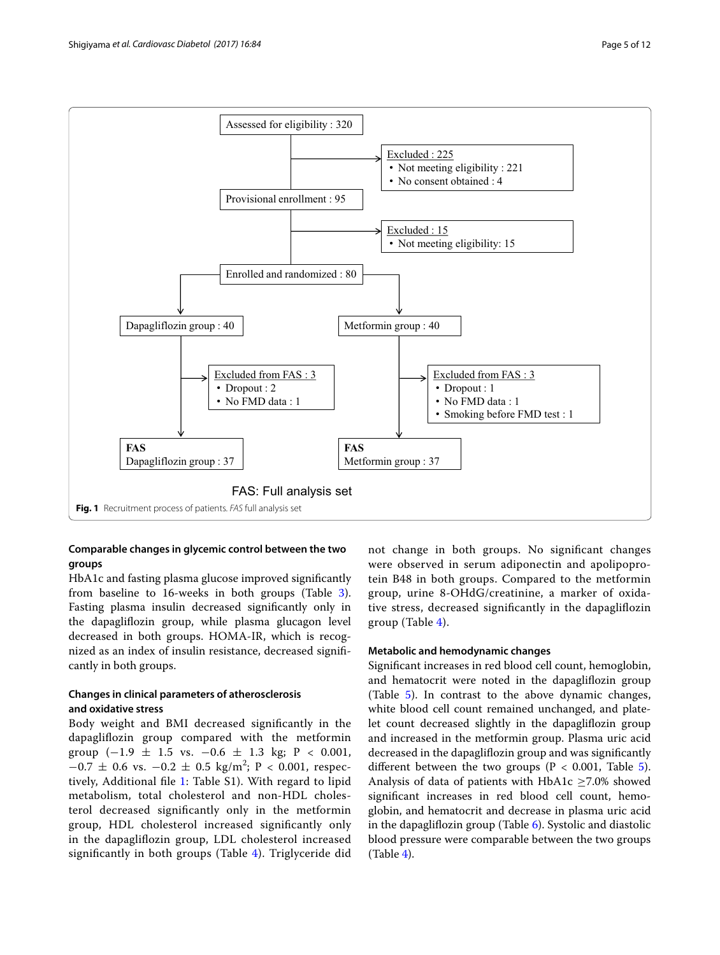

# <span id="page-4-0"></span>**Comparable changes in glycemic control between the two groups**

HbA1c and fasting plasma glucose improved signifcantly from baseline to 16-weeks in both groups (Table [3](#page-6-2)). Fasting plasma insulin decreased signifcantly only in the dapaglifozin group, while plasma glucagon level decreased in both groups. HOMA-IR, which is recognized as an index of insulin resistance, decreased signifcantly in both groups.

# **Changes in clinical parameters of atherosclerosis and oxidative stress**

Body weight and BMI decreased signifcantly in the dapaglifozin group compared with the metformin group  $(-1.9 \pm 1.5 \text{ vs. } -0.6 \pm 1.3 \text{ kg}; \text{ P} < 0.001,$  $-0.7 \pm 0.6$  vs.  $-0.2 \pm 0.5$  kg/m<sup>2</sup>; P < 0.001, respectively, Additional fle [1:](#page-10-6) Table S1). With regard to lipid metabolism, total cholesterol and non-HDL cholesterol decreased signifcantly only in the metformin group, HDL cholesterol increased signifcantly only in the dapaglifozin group, LDL cholesterol increased signifcantly in both groups (Table [4\)](#page-7-0). Triglyceride did not change in both groups. No signifcant changes were observed in serum adiponectin and apolipoprotein B48 in both groups. Compared to the metformin group, urine 8-OHdG/creatinine, a marker of oxidative stress, decreased signifcantly in the dapaglifozin group (Table [4](#page-7-0)).

## **Metabolic and hemodynamic changes**

Signifcant increases in red blood cell count, hemoglobin, and hematocrit were noted in the dapaglifozin group (Table [5](#page-8-0)). In contrast to the above dynamic changes, white blood cell count remained unchanged, and platelet count decreased slightly in the dapaglifozin group and increased in the metformin group. Plasma uric acid decreased in the dapaglifozin group and was signifcantly different between the two groups ( $P < 0.001$ , Table [5](#page-8-0)). Analysis of data of patients with HbA1c  $\geq$ 7.0% showed signifcant increases in red blood cell count, hemoglobin, and hematocrit and decrease in plasma uric acid in the dapaglifozin group (Table [6](#page-8-1)). Systolic and diastolic blood pressure were comparable between the two groups (Table [4\)](#page-7-0).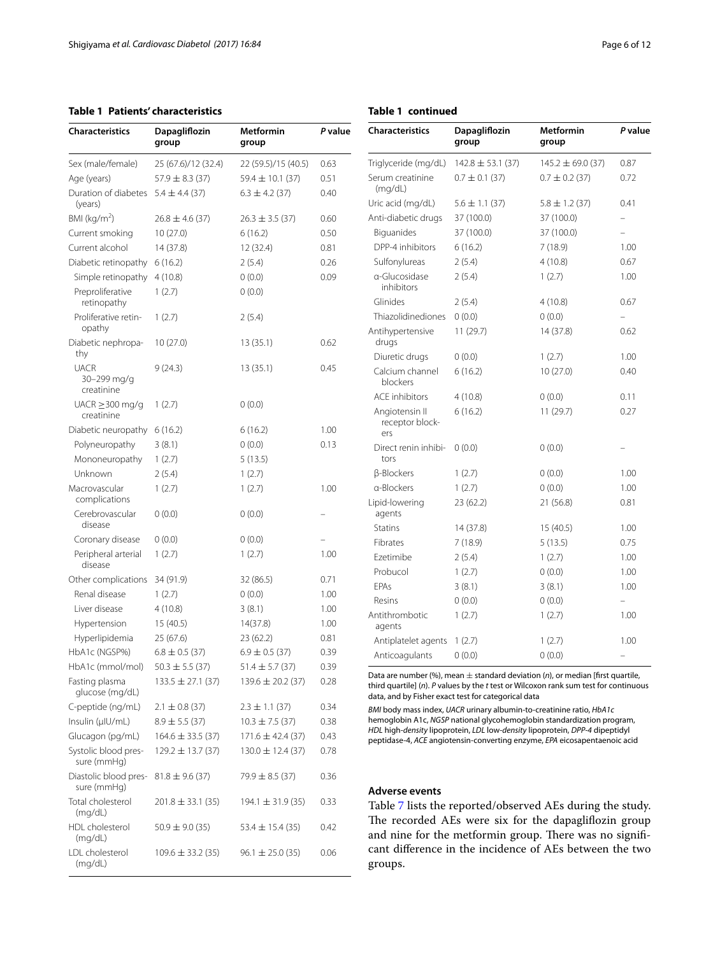# <span id="page-5-0"></span>**Table 1 Patients' characteristics**

| <b>Characteristics</b>                   | Dapagliflozin<br>group | Metformin<br>group    | P value |
|------------------------------------------|------------------------|-----------------------|---------|
| Sex (male/female)                        | 25 (67.6)/12 (32.4)    | 22 (59.5)/15 (40.5)   | 0.63    |
| Age (years)                              | $57.9 \pm 8.3$ (37)    | $59.4 \pm 10.1$ (37)  | 0.51    |
| Duration of diabetes<br>(years)          | $5.4 \pm 4.4$ (37)     | $6.3 \pm 4.2$ (37)    | 0.40    |
| BMI ( $kg/m2$ )                          | $26.8 \pm 4.6$ (37)    | $26.3 \pm 3.5$ (37)   | 0.60    |
| Current smoking                          | 10 (27.0)              | 6(16.2)               | 0.50    |
| Current alcohol                          | 14 (37.8)              | 12 (32.4)             | 0.81    |
| Diabetic retinopathy                     | 6(16.2)                | 2(5.4)                | 0.26    |
| Simple retinopathy                       | 4(10.8)                | 0(0.0)                | 0.09    |
| Preproliferative<br>retinopathy          | 1(2.7)                 | 0(0.0)                |         |
| Proliferative retin-<br>opathy           | 1(2.7)                 | 2(5.4)                |         |
| Diabetic nephropa-<br>thy                | 10(27.0)               | 13 (35.1)             | 0.62    |
| <b>UACR</b><br>30-299 mg/g<br>creatinine | 9(24.3)                | 13 (35.1)             | 0.45    |
| $UACR \geq 300$ mg/g<br>creatinine       | 1(2.7)                 | 0(0.0)                |         |
| Diabetic neuropathy                      | 6(16.2)                | 6(16.2)               | 1.00    |
| Polyneuropathy                           | 3(8.1)                 | 0(0.0)                | 0.13    |
| Mononeuropathy                           | 1(2.7)                 | 5(13.5)               |         |
| Unknown                                  | 2(5.4)                 | 1(2.7)                |         |
| Macrovascular<br>complications           | 1(2.7)                 | 1(2.7)                | 1.00    |
| Cerebrovascular<br>disease               | 0(0.0)                 | 0(0.0)                |         |
| Coronary disease                         | 0(0.0)                 | 0(0.0)                |         |
| Peripheral arterial<br>disease           | 1(2.7)                 | 1(2.7)                | 1.00    |
| Other complications                      | 34 (91.9)              | 32 (86.5)             | 0.71    |
| Renal disease                            | 1(2.7)                 | 0(0.0)                | 1.00    |
| Liver disease                            | 4(10.8)                | 3(8.1)                | 1.00    |
| Hypertension                             | 15 (40.5)              | 14(37.8)              | 1.00    |
| Hyperlipidemia                           | 25 (67.6)              | 23 (62.2)             | 0.81    |
| HbA1c (NGSP%)                            | $6.8 \pm 0.5$ (37)     | $6.9 \pm 0.5$ (37)    | 0.39    |
| HbA1c (mmol/mol)                         | $50.3 \pm 5.5$ (37)    | $51.4 \pm 5.7$ (37)   | 0.39    |
| Fasting plasma<br>glucose (mg/dL)        | $133.5 \pm 27.1$ (37)  | $139.6 \pm 20.2$ (37) | 0.28    |
| C-peptide (ng/mL)                        | $2.1 \pm 0.8$ (37)     | $2.3 \pm 1.1$ (37)    | 0.34    |
| Insulin (µlU/mL)                         | $8.9 \pm 5.5$ (37)     | $10.3 \pm 7.5$ (37)   | 0.38    |
| Glucagon (pg/mL)                         | $164.6 \pm 33.5$ (37)  | $171.6 \pm 42.4(37)$  | 0.43    |
| Systolic blood pres-<br>sure (mmHq)      | $129.2 \pm 13.7(37)$   | $130.0 \pm 12.4(37)$  | 0.78    |
| Diastolic blood pres-<br>sure (mmHq)     | $81.8 \pm 9.6$ (37)    | 79.9 ± 8.5 (37)       | 0.36    |
| Total cholesterol<br>(mq/dL)             | $201.8 \pm 33.1$ (35)  | $194.1 \pm 31.9(35)$  | 0.33    |
| HDL cholesterol<br>(mg/dL)               | $50.9 \pm 9.0$ (35)    | $53.4 \pm 15.4$ (35)  | 0.42    |
| LDL cholesterol<br>(mq/dL)               | $109.6 \pm 33.2(35)$   | $96.1 \pm 25.0$ (35)  | 0.06    |

| <b>Characteristics</b>                   | Dapagliflozin<br>group | <b>Metformin</b><br>group | P value                  |
|------------------------------------------|------------------------|---------------------------|--------------------------|
| Triglyceride (mg/dL)                     | $142.8 \pm 53.1$ (37)  | $145.2 \pm 69.0$ (37)     | 0.87                     |
| Serum creatinine<br>(mg/dL)              | $0.7 \pm 0.1$ (37)     | $0.7 \pm 0.2$ (37)        | 0.72                     |
| Uric acid (mg/dL)                        | $5.6 \pm 1.1$ (37)     | $5.8 \pm 1.2$ (37)        | 0.41                     |
| Anti-diabetic drugs                      | 37 (100.0)             | 37 (100.0)                |                          |
| Biguanides                               | 37 (100.0)             | 37 (100.0)                |                          |
| DPP-4 inhibitors                         | 6(16.2)                | 7(18.9)                   | 1.00                     |
| Sulfonylureas                            | 2(5.4)                 | 4(10.8)                   | 0.67                     |
| a-Glucosidase<br>inhibitors              | 2(5.4)                 | 1(2.7)                    | 1.00                     |
| Glinides                                 | 2(5.4)                 | 4(10.8)                   | 0.67                     |
| Thiazolidinediones                       | 0(0.0)                 | 0(0.0)                    | $\overline{\phantom{0}}$ |
| Antihypertensive<br>drugs                | 11 (29.7)              | 14 (37.8)                 | 0.62                     |
| Diuretic drugs                           | 0(0.0)                 | 1(2.7)                    | 1.00                     |
| Calcium channel<br>blockers              | 6(16.2)                | 10(27.0)                  | 0.40                     |
| <b>ACE</b> inhibitors                    | 4(10.8)                | 0(0.0)                    | 0.11                     |
| Angiotensin II<br>receptor block-<br>ers | 6(16.2)                | 11 (29.7)                 | 0.27                     |
| Direct renin inhibi-<br>tors             | 0(0.0)                 | 0(0.0)                    |                          |
| β-Blockers                               | 1(2.7)                 | 0(0.0)                    | 1.00                     |
| a-Blockers                               | 1(2.7)                 | 0(0.0)                    | 1.00                     |
| Lipid-lowering<br>agents                 | 23 (62.2)              | 21 (56.8)                 | 0.81                     |
| <b>Statins</b>                           | 14 (37.8)              | 15(40.5)                  | 1.00                     |
| <b>Fibrates</b>                          | 7(18.9)                | 5(13.5)                   | 0.75                     |
| Ezetimibe                                | 2(5.4)                 | 1(2.7)                    | 1.00                     |
| Probucol                                 | 1(2.7)                 | 0(0.0)                    | 1.00                     |
| EPAs                                     | 3(8.1)                 | 3(8.1)                    | 1.00                     |
| Resins                                   | 0(0.0)                 | 0(0.0)                    | $\overline{a}$           |
| Antithrombotic<br>agents                 | 1(2.7)                 | 1(2.7)                    | 1.00                     |
| Antiplatelet agents                      | 1(2.7)                 | 1(2.7)                    | 1.00                     |
| Anticoagulants                           | 0(0.0)                 | 0(0.0)                    |                          |

Data are number (%), mean  $\pm$  standard deviation (n), or median [first quartile, third quartile] (*n*). *P* values by the *t* test or Wilcoxon rank sum test for continuous data, and by Fisher exact test for categorical data

*BMI* body mass index, *UACR* urinary albumin-to-creatinine ratio, *HbA1c* hemoglobin A1c, *NGSP* national glycohemoglobin standardization program, *HDL* high-*density* lipoprotein, *LDL* low-*density* lipoprotein, *DPP-4* dipeptidyl peptidase-4, *ACE* angiotensin-converting enzyme, *EPA* eicosapentaenoic acid

# **Adverse events**

Table [7](#page-9-0) lists the reported/observed AEs during the study. The recorded AEs were six for the dapagliflozin group and nine for the metformin group. There was no significant diference in the incidence of AEs between the two groups.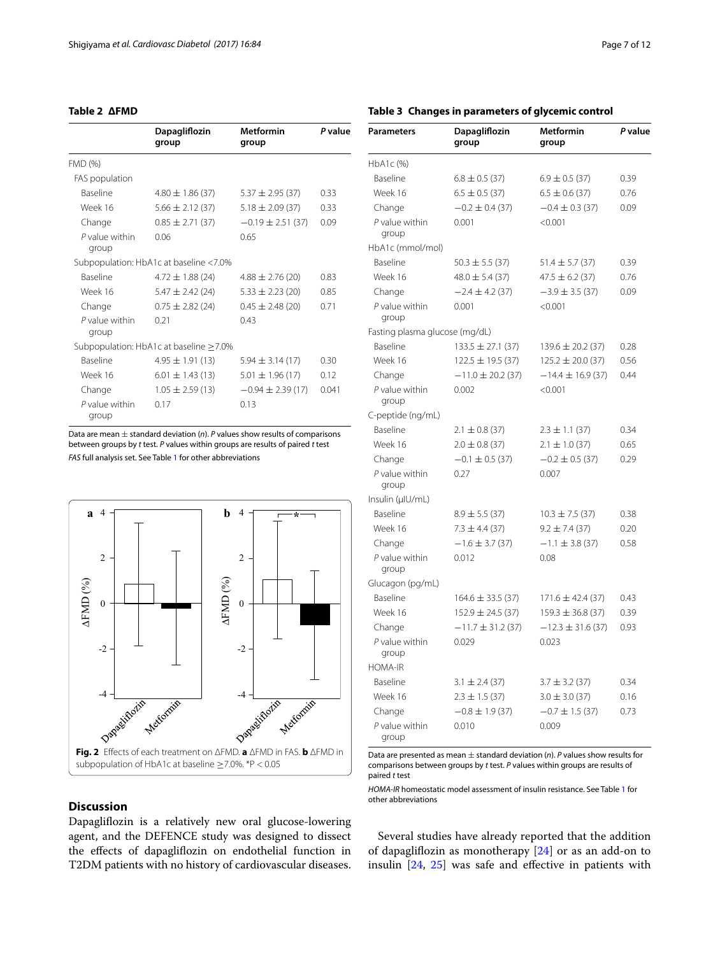# <span id="page-6-0"></span>**Table 2 ΔFMD**

|                           | Dapagliflozin<br>group                       | <b>Metformin</b><br>group | P value |
|---------------------------|----------------------------------------------|---------------------------|---------|
| FMD (%)                   |                                              |                           |         |
| FAS population            |                                              |                           |         |
| <b>Baseline</b>           | $4.80 \pm 1.86(37)$                          | $5.37 \pm 2.95(37)$       | 0.33    |
| Week 16                   | $5.66 \pm 2.12(37)$                          | $5.18 \pm 2.09$ (37)      | 0.33    |
| Change                    | $0.85 \pm 2.71(37)$                          | $-0.19 \pm 2.51(37)$      | 0.09    |
| $P$ value within<br>group | 0.06                                         | 0.65                      |         |
|                           | Subpopulation: HbA1c at baseline <7.0%       |                           |         |
| <b>Baseline</b>           | $4.72 \pm 1.88$ (24)                         | $4.88 \pm 2.76$ (20)      | 0.83    |
| Week 16                   | $5.47 \pm 2.42$ (24)                         | $5.33 \pm 2.23$ (20)      | 0.85    |
| Change                    | $0.75 \pm 2.82$ (24)                         | $0.45 \pm 2.48$ (20)      | 0.71    |
| $P$ value within<br>group | 0.21                                         | 0.43                      |         |
|                           | Subpopulation: HbA1c at baseline $\geq$ 7.0% |                           |         |
| <b>Baseline</b>           | $4.95 \pm 1.91(13)$                          | $5.94 \pm 3.14(17)$       | 0.30    |
| Week 16                   | $6.01 \pm 1.43(13)$                          | $5.01 \pm 1.96(17)$       | 0.12    |
| Change                    | $1.05 \pm 2.59(13)$                          | $-0.94 \pm 2.39(17)$      | 0.041   |
| $P$ value within<br>group | 0.17                                         | 0.13                      |         |

Data are mean ± standard deviation (*n*). *P* values show results of comparisons between groups by *t* test. *P* values within groups are results of paired *t* test *FAS* full analysis set. See Table [1](#page-5-0) for other abbreviations



# <span id="page-6-1"></span>**Discussion**

Dapaglifozin is a relatively new oral glucose-lowering agent, and the DEFENCE study was designed to dissect the efects of dapaglifozin on endothelial function in T2DM patients with no history of cardiovascular diseases.

# <span id="page-6-2"></span>**Table 3 Changes in parameters of glycemic control**

| <b>Parameters</b>              | Dapagliflozin<br>group | <b>Metformin</b><br>group | P value |
|--------------------------------|------------------------|---------------------------|---------|
| HbA1c (%)                      |                        |                           |         |
| Baseline                       | $6.8 \pm 0.5$ (37)     | $6.9 \pm 0.5$ (37)        | 0.39    |
| Week 16                        | $6.5 \pm 0.5$ (37)     | $6.5 \pm 0.6$ (37)        | 0.76    |
| Change                         | $-0.2 \pm 0.4$ (37)    | $-0.4 \pm 0.3$ (37)       | 0.09    |
| P value within<br>group        | 0.001                  | < 0.001                   |         |
| HbA1c (mmol/mol)               |                        |                           |         |
| Baseline                       | $50.3 \pm 5.5$ (37)    | $51.4 \pm 5.7$ (37)       | 0.39    |
| Week 16                        | $48.0 \pm 5.4$ (37)    | $47.5 \pm 6.2$ (37)       | 0.76    |
| Change                         | $-2.4 \pm 4.2$ (37)    | $-3.9 \pm 3.5$ (37)       | 0.09    |
| P value within<br>group        | 0.001                  | < 0.001                   |         |
| Fasting plasma glucose (mg/dL) |                        |                           |         |
| Baseline                       | $133.5 \pm 27.1$ (37)  | $139.6 \pm 20.2$ (37)     | 0.28    |
| Week 16                        | $122.5 \pm 19.5$ (37)  | $125.2 \pm 20.0$ (37)     | 0.56    |
| Change                         | $-11.0 \pm 20.2$ (37)  | $-14.4 \pm 16.9$ (37)     | 0.44    |
| P value within<br>group        | 0.002                  | < 0.001                   |         |
| C-peptide (ng/mL)              |                        |                           |         |
| Baseline                       | $2.1 \pm 0.8$ (37)     | $2.3 \pm 1.1$ (37)        | 0.34    |
| Week 16                        | $2.0 \pm 0.8$ (37)     | $2.1 \pm 1.0$ (37)        | 0.65    |
| Change                         | $-0.1 \pm 0.5$ (37)    | $-0.2 \pm 0.5$ (37)       | 0.29    |
| P value within<br>group        | 0.27                   | 0.007                     |         |
| Insulin (µ U/mL)               |                        |                           |         |
| Baseline                       | $8.9 \pm 5.5$ (37)     | $10.3 \pm 7.5$ (37)       | 0.38    |
| Week 16                        | $7.3 \pm 4.4$ (37)     | $9.2 \pm 7.4(37)$         | 0.20    |
| Change                         | $-1.6 \pm 3.7$ (37)    | $-1.1 \pm 3.8$ (37)       | 0.58    |
| $P$ value within<br>group      | 0.012                  | 0.08                      |         |
| Glucagon (pg/mL)               |                        |                           |         |
| Baseline                       | $164.6 \pm 33.5(37)$   | $171.6 \pm 42.4(37)$      | 0.43    |
| Week 16                        | $152.9 \pm 24.5(37)$   | $159.3 \pm 36.8$ (37)     | 0.39    |
| Change                         | $-11.7 \pm 31.2(37)$   | $-12.3 \pm 31.6$ (37)     | 0.93    |
| $P$ value within<br>group      | 0.029                  | 0.023                     |         |
| <b>HOMA-IR</b>                 |                        |                           |         |
| <b>Baseline</b>                | $3.1 \pm 2.4$ (37)     | $3.7 \pm 3.2$ (37)        | 0.34    |
| Week 16                        | $2.3 \pm 1.5$ (37)     | $3.0 \pm 3.0$ (37)        | 0.16    |
| Change                         | $-0.8 \pm 1.9$ (37)    | $-0.7 \pm 1.5$ (37)       | 0.73    |
| P value within<br>group        | 0.010                  | 0.009                     |         |

Data are presented as mean ± standard deviation (*n*). *P* values show results for comparisons between groups by *t* test. *P* values within groups are results of paired *t* test

*HOMA-IR* homeostatic model assessment of insulin resistance. See Table [1](#page-5-0) for other abbreviations

Several studies have already reported that the addition of dapaglifozin as monotherapy [[24](#page-11-15)] or as an add-on to insulin [\[24,](#page-11-15) [25](#page-11-16)] was safe and efective in patients with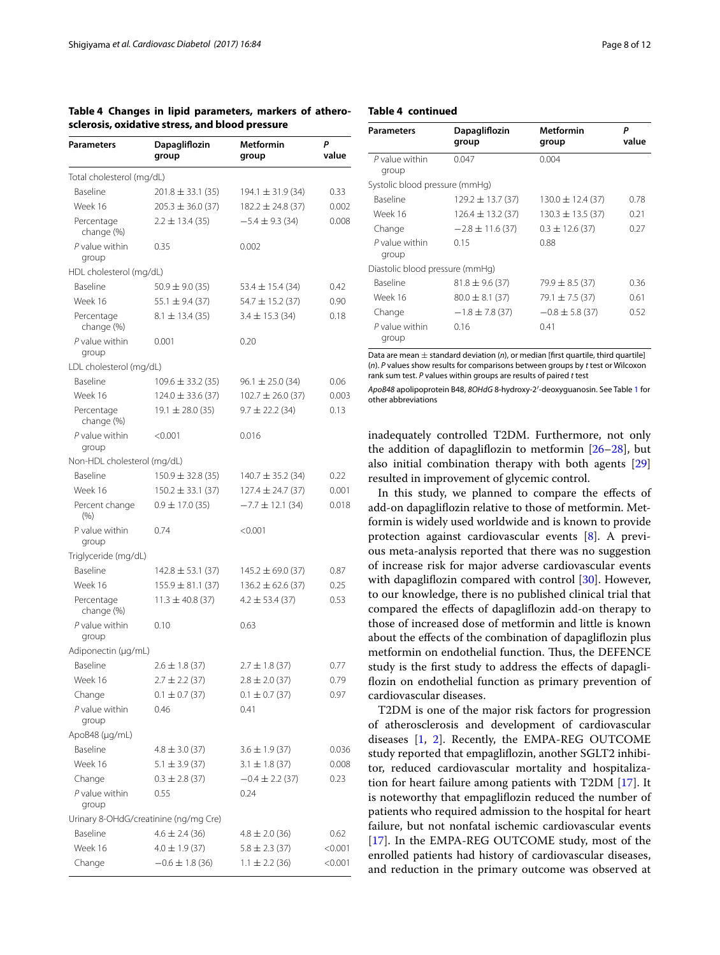| Parameters                  | Dapagliflozin<br>group                | Metformin<br>group    | P<br>value |
|-----------------------------|---------------------------------------|-----------------------|------------|
| Total cholesterol (mg/dL)   |                                       |                       |            |
| Baseline                    | $201.8 \pm 33.1$ (35)                 | $194.1 \pm 31.9(34)$  | 0.33       |
| Week 16                     | $205.3 \pm 36.0(37)$                  | $182.2 \pm 24.8$ (37) | 0.002      |
| Percentage<br>change (%)    | $2.2 \pm 13.4$ (35)                   | $-5.4 \pm 9.3$ (34)   | 0.008      |
| P value within<br>group     | 0.35                                  | 0.002                 |            |
| HDL cholesterol (mg/dL)     |                                       |                       |            |
| <b>Baseline</b>             | $50.9 \pm 9.0$ (35)                   | $53.4 \pm 15.4$ (34)  | 0.42       |
| Week 16                     | 55.1 $\pm$ 9.4 (37)                   | $54.7 \pm 15.2$ (37)  | 0.90       |
| Percentage<br>change (%)    | $8.1 \pm 13.4$ (35)                   | $3.4 \pm 15.3$ (34)   | 0.18       |
| P value within<br>group     | 0.001                                 | 0.20                  |            |
| LDL cholesterol (mg/dL)     |                                       |                       |            |
| Baseline                    | $109.6 \pm 33.2(35)$                  | $96.1 \pm 25.0$ (34)  | 0.06       |
| Week 16                     | $124.0 \pm 33.6(37)$                  | $102.7 \pm 26.0$ (37) | 0.003      |
| Percentage<br>change (%)    | $19.1 \pm 28.0$ (35)                  | $9.7 \pm 22.2$ (34)   | 0.13       |
| P value within<br>group     | < 0.001                               | 0.016                 |            |
| Non-HDL cholesterol (mg/dL) |                                       |                       |            |
| Baseline                    | $150.9 \pm 32.8$ (35)                 | $140.7 \pm 35.2$ (34) | 0.22       |
| Week 16                     | $150.2 \pm 33.1(37)$                  | $127.4 \pm 24.7$ (37) | 0.001      |
| Percent change<br>(% )      | $0.9 \pm 17.0$ (35)                   | $-7.7 \pm 12.1$ (34)  | 0.018      |
| P value within<br>group     | 0.74                                  | < 0.001               |            |
| Triglyceride (mg/dL)        |                                       |                       |            |
| Baseline                    | $142.8 \pm 53.1$ (37)                 | $145.2 \pm 69.0$ (37) | 0.87       |
| Week 16                     | $155.9 \pm 81.1$ (37)                 | $136.2 \pm 62.6(37)$  | 0.25       |
| Percentage<br>change (%)    | $11.3 \pm 40.8$ (37)                  | $4.2 \pm 53.4$ (37)   | 0.53       |
| P value within<br>group     | 0.10                                  | 0.63                  |            |
| Adiponectin (µg/mL)         |                                       |                       |            |
| Baseline                    | $2.6 \pm 1.8$ (37)                    | $2.7 \pm 1.8$ (37)    | 0.77       |
| Week 16                     | $2.7 \pm 2.2$ (37)                    | $2.8 \pm 2.0$ (37)    | 0.79       |
| Change                      | $0.1 \pm 0.7$ (37)                    | $0.1 \pm 0.7$ (37)    | 0.97       |
| P value within<br>group     | 0.46                                  | 0.41                  |            |
| ApoB48 (µg/mL)              |                                       |                       |            |
| Baseline                    | $4.8 \pm 3.0$ (37)                    | $3.6 \pm 1.9$ (37)    | 0.036      |
| Week 16                     | $5.1 \pm 3.9$ (37)                    | $3.1 \pm 1.8$ (37)    | 0.008      |
| Change                      | $0.3 \pm 2.8$ (37)                    | $-0.4 \pm 2.2$ (37)   | 0.23       |
| P value within<br>group     | 0.55                                  | 0.24                  |            |
|                             | Urinary 8-OHdG/creatinine (ng/mg Cre) |                       |            |
| Baseline                    | $4.6 \pm 2.4$ (36)                    | $4.8 \pm 2.0$ (36)    | 0.62       |
| Week 16                     | $4.0 \pm 1.9$ (37)                    | $5.8 \pm 2.3$ (37)    | < 0.001    |
| Change                      | $-0.6 \pm 1.8$ (36)                   | $1.1 \pm 2.2$ (36)    | < 0.001    |

<span id="page-7-0"></span>**Table 4 Changes in lipid parameters, markers of atherosclerosis, oxidative stress, and blood pressure**

# **Table 4 continued**

| <b>Parameters</b>               | Dapagliflozin<br>group | <b>Metformin</b><br>group | Ρ<br>value |
|---------------------------------|------------------------|---------------------------|------------|
| P value within<br>group         | 0.047                  | 0.004                     |            |
| Systolic blood pressure (mmHg)  |                        |                           |            |
| Baseline                        | $129.2 \pm 13.7$ (37)  | $130.0 \pm 12.4(37)$      | 0.78       |
| Week 16                         | $126.4 \pm 13.2(37)$   | $130.3 \pm 13.5(37)$      | 0.21       |
| Change                          | $-2.8 \pm 11.6$ (37)   | $0.3 \pm 12.6$ (37)       | 0.27       |
| P value within<br>group         | 0.15                   | 0.88                      |            |
| Diastolic blood pressure (mmHq) |                        |                           |            |
| Baseline                        | $81.8 \pm 9.6$ (37)    | $79.9 \pm 8.5(37)$        | 0.36       |
| Week 16                         | $80.0 \pm 8.1$ (37)    | 79.1 $\pm$ 7.5 (37)       | 0.61       |
| Change                          | $-1.8 \pm 7.8$ (37)    | $-0.8 \pm 5.8$ (37)       | 0.52       |
| P value within<br>group         | 0.16                   | 0.41                      |            |

Data are mean ± standard deviation (*n*), or median [frst quartile, third quartile] (*n*). *P* values show results for comparisons between groups by *t* test or Wilcoxon rank sum test. *P* values within groups are results of paired *t* test

*ApoB48* apolipoprotein B48, *8OHdG* 8-hydroxy-2′-deoxyguanosin. See Table [1](#page-5-0) for other abbreviations

inadequately controlled T2DM. Furthermore, not only the addition of dapaglifozin to metformin [\[26–](#page-11-17)[28\]](#page-11-18), but also initial combination therapy with both agents [[29](#page-11-19)] resulted in improvement of glycemic control.

In this study, we planned to compare the efects of add-on dapaglifozin relative to those of metformin. Metformin is widely used worldwide and is known to provide protection against cardiovascular events [\[8](#page-11-1)]. A previous meta-analysis reported that there was no suggestion of increase risk for major adverse cardiovascular events with dapagliflozin compared with control [[30\]](#page-11-20). However, to our knowledge, there is no published clinical trial that compared the efects of dapaglifozin add-on therapy to those of increased dose of metformin and little is known about the efects of the combination of dapaglifozin plus metformin on endothelial function. Thus, the DEFENCE study is the first study to address the effects of dapaglifozin on endothelial function as primary prevention of cardiovascular diseases.

T2DM is one of the major risk factors for progression of atherosclerosis and development of cardiovascular diseases [\[1,](#page-10-0) [2](#page-10-1)]. Recently, the EMPA-REG OUTCOME study reported that empaglifozin, another SGLT2 inhibitor, reduced cardiovascular mortality and hospitalization for heart failure among patients with T2DM [\[17\]](#page-11-9). It is noteworthy that empaglifozin reduced the number of patients who required admission to the hospital for heart failure, but not nonfatal ischemic cardiovascular events [[17\]](#page-11-9). In the EMPA-REG OUTCOME study, most of the enrolled patients had history of cardiovascular diseases, and reduction in the primary outcome was observed at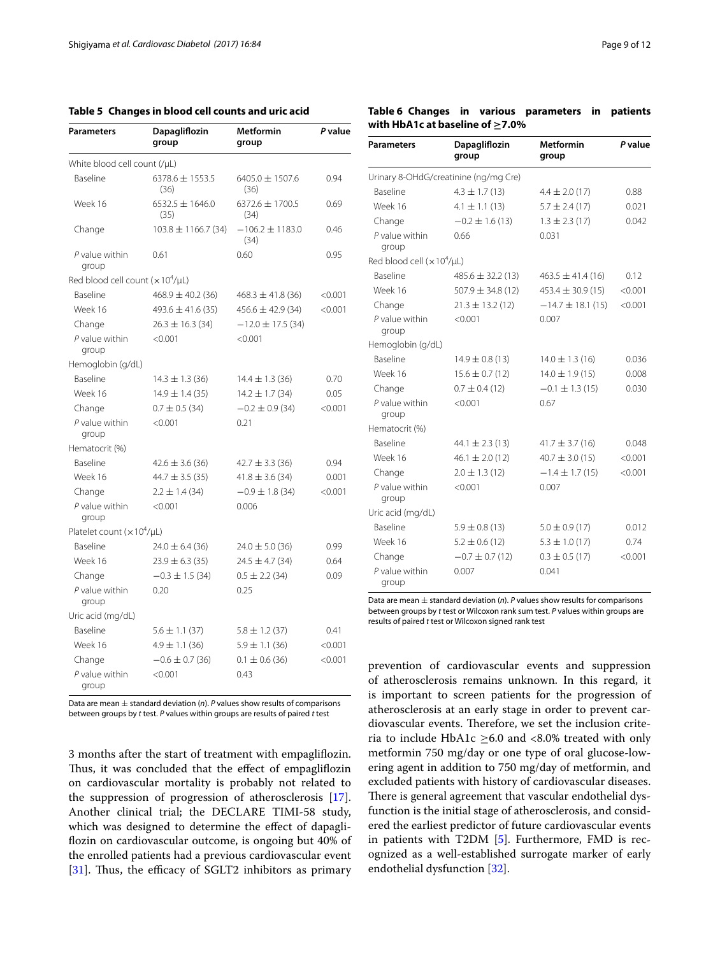| <b>Parameters</b>                     | Dapagliflozin<br>group      | <b>Metformin</b><br>group   | P value |
|---------------------------------------|-----------------------------|-----------------------------|---------|
| White blood cell count (/µL)          |                             |                             |         |
| <b>Baseline</b>                       | $6378.6 + 1553.5$<br>(36)   | $6405.0 \pm 1507.6$<br>(36) | 0.94    |
| Week 16                               | $6532.5 \pm 1646.0$<br>(35) | $6372.6 \pm 1700.5$<br>(34) | 0.69    |
| Change                                | $103.8 \pm 1166.7$ (34)     | $-106.2 \pm 1183.0$<br>(34) | 0.46    |
| P value within<br>group               | 0.61                        | 0.60                        | 0.95    |
| Red blood cell count $(x 10^4/\mu L)$ |                             |                             |         |
| Baseline                              | $468.9 \pm 40.2$ (36)       | $468.3 \pm 41.8$ (36)       | < 0.001 |
| Week 16                               | $493.6 \pm 41.6(35)$        | $456.6 \pm 42.9$ (34)       | < 0.001 |
| Change                                | $26.3 \pm 16.3$ (34)        | $-12.0 \pm 17.5$ (34)       |         |
| P value within<br>group               | < 0.001                     | < 0.001                     |         |
| Hemoglobin (g/dL)                     |                             |                             |         |
| Baseline                              | $14.3 \pm 1.3$ (36)         | $14.4 \pm 1.3$ (36)         | 0.70    |
| Week 16                               | $14.9 \pm 1.4$ (35)         | $14.2 \pm 1.7$ (34)         | 0.05    |
| Change                                | $0.7 \pm 0.5$ (34)          | $-0.2 \pm 0.9$ (34)         | < 0.001 |
| P value within<br>group               | < 0.001                     | 0.21                        |         |
| Hematocrit (%)                        |                             |                             |         |
| Baseline                              | $42.6 \pm 3.6$ (36)         | $42.7 \pm 3.3$ (36)         | 0.94    |
| Week 16                               | $44.7 \pm 3.5$ (35)         | $41.8 \pm 3.6$ (34)         | 0.001   |
| Change                                | $2.2 \pm 1.4(34)$           | $-0.9 \pm 1.8$ (34)         | < 0.001 |
| P value within<br>group               | < 0.001                     | 0.006                       |         |
| Platelet count $(x 10^4/\mu L)$       |                             |                             |         |
| Baseline                              | $24.0 \pm 6.4$ (36)         | $24.0 \pm 5.0$ (36)         | 0.99    |
| Week 16                               | $23.9 \pm 6.3$ (35)         | $24.5 \pm 4.7$ (34)         | 0.64    |
| Change                                | $-0.3 \pm 1.5$ (34)         | $0.5 \pm 2.2$ (34)          | 0.09    |
| P value within<br>group               | 0.20                        | 0.25                        |         |
| Uric acid (mg/dL)                     |                             |                             |         |
| Baseline                              | $5.6 \pm 1.1$ (37)          | $5.8 \pm 1.2$ (37)          | 0.41    |
| Week 16                               | $4.9 \pm 1.1$ (36)          | $5.9 \pm 1.1$ (36)          | < 0.001 |
| Change                                | $-0.6 \pm 0.7$ (36)         | $0.1 \pm 0.6$ (36)          | < 0.001 |
| P value within<br>group               | < 0.001                     | 0.43                        |         |

<span id="page-8-0"></span>

Data are mean ± standard deviation (*n*). *P* values show results of comparisons between groups by *t* test. *P* values within groups are results of paired *t* test

3 months after the start of treatment with empaglifozin. Thus, it was concluded that the effect of empagliflozin on cardiovascular mortality is probably not related to the suppression of progression of atherosclerosis [\[17](#page-11-9)]. Another clinical trial; the DECLARE TIMI-58 study, which was designed to determine the effect of dapagliflozin on cardiovascular outcome, is ongoing but 40% of the enrolled patients had a previous cardiovascular event [[31\]](#page-11-21). Thus, the efficacy of SGLT2 inhibitors as primary

# <span id="page-8-1"></span>**Table 6 Changes in various parameters in patients with HbA1c at baseline of ≥7.0%**

| Parameters                      | Dapagliflozin<br>group                | <b>Metformin</b><br>group | P value |
|---------------------------------|---------------------------------------|---------------------------|---------|
|                                 | Urinary 8-OHdG/creatinine (ng/mg Cre) |                           |         |
| Baseline                        | $4.3 \pm 1.7(13)$                     | $4.4 \pm 2.0$ (17)        | 0.88    |
| Week 16                         | $4.1 \pm 1.1$ (13)                    | $5.7 \pm 2.4(17)$         | 0.021   |
| Change                          | $-0.2 \pm 1.6$ (13)                   | $1.3 \pm 2.3$ (17)        | 0.042   |
| $P$ value within<br>group       | 0.66                                  | 0.031                     |         |
| Red blood cell $(x 10^4/\mu L)$ |                                       |                           |         |
| Baseline                        | $485.6 \pm 32.2(13)$                  | $463.5 \pm 41.4(16)$      | 0.12    |
| Week 16                         | $507.9 \pm 34.8(12)$                  | $453.4 \pm 30.9(15)$      | < 0.001 |
| Change                          | $21.3 \pm 13.2$ (12)                  | $-14.7 \pm 18.1(15)$      | < 0.001 |
| $P$ value within<br>group       | < 0.001                               | 0.007                     |         |
| Hemoglobin (g/dL)               |                                       |                           |         |
| Baseline                        | $14.9 \pm 0.8$ (13)                   | $14.0 \pm 1.3(16)$        | 0.036   |
| Week 16                         | $15.6 \pm 0.7$ (12)                   | $14.0 \pm 1.9(15)$        | 0.008   |
| Change                          | $0.7 \pm 0.4$ (12)                    | $-0.1 \pm 1.3$ (15)       | 0.030   |
| $P$ value within<br>group       | < 0.001                               | 0.67                      |         |
| Hematocrit (%)                  |                                       |                           |         |
| Baseline                        | 44.1 $\pm$ 2.3 (13)                   | $41.7 \pm 3.7$ (16)       | 0.048   |
| Week 16                         | $46.1 \pm 2.0$ (12)                   | $40.7 \pm 3.0$ (15)       | < 0.001 |
| Change                          | $2.0 \pm 1.3$ (12)                    | $-1.4 \pm 1.7(15)$        | < 0.001 |
| $P$ value within<br>group       | < 0.001                               | 0.007                     |         |
| Uric acid (mg/dL)               |                                       |                           |         |
| Baseline                        | $5.9 \pm 0.8$ (13)                    | $5.0 \pm 0.9$ (17)        | 0.012   |
| Week 16                         | $5.2 \pm 0.6$ (12)                    | $5.3 \pm 1.0$ (17)        | 0.74    |
| Change                          | $-0.7 \pm 0.7$ (12)                   | $0.3 \pm 0.5$ (17)        | < 0.001 |
| P value within<br>group         | 0.007                                 | 0.041                     |         |

Data are mean ± standard deviation (*n*). *P* values show results for comparisons between groups by *t* test or Wilcoxon rank sum test. *P* values within groups are results of paired *t* test or Wilcoxon signed rank test

prevention of cardiovascular events and suppression of atherosclerosis remains unknown. In this regard, it is important to screen patients for the progression of atherosclerosis at an early stage in order to prevent cardiovascular events. Therefore, we set the inclusion criteria to include HbA1c  $\geq$ 6.0 and <8.0% treated with only metformin 750 mg/day or one type of oral glucose-lowering agent in addition to 750 mg/day of metformin, and excluded patients with history of cardiovascular diseases. There is general agreement that vascular endothelial dysfunction is the initial stage of atherosclerosis, and considered the earliest predictor of future cardiovascular events in patients with T2DM [\[5\]](#page-10-4). Furthermore, FMD is recognized as a well-established surrogate marker of early endothelial dysfunction [[32](#page-11-22)].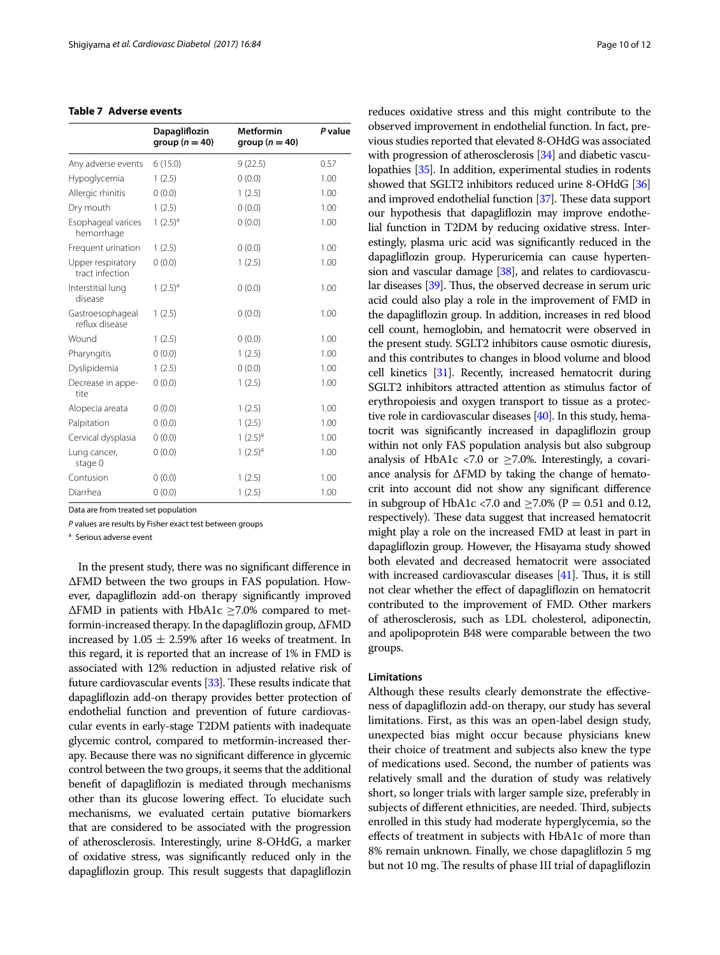# <span id="page-9-0"></span>**Table 7 Adverse events**

|                                      | Dapagliflozin<br>group ( $n = 40$ ) | <b>Metformin</b><br>group $(n = 40)$ | P value |
|--------------------------------------|-------------------------------------|--------------------------------------|---------|
| Any adverse events                   | 6(15.0)                             | 9(22.5)                              | 0.57    |
| Hypoglycemia                         | 1(2.5)                              | 0(0.0)                               | 1.00    |
| Allergic rhinitis                    | 0(0.0)                              | 1(2.5)                               | 1.00    |
| Dry mouth                            | 1(2.5)                              | 0(0.0)                               | 1.00    |
| Esophageal varices<br>hemorrhage     | $1(2.5)^a$                          | 0(0.0)                               | 1.00    |
| Frequent urination                   | 1(2.5)                              | 0(0.0)                               | 1.00    |
| Upper respiratory<br>tract infection | 0(0.0)                              | 1(2.5)                               | 1.00    |
| Interstitial lung<br>disease         | $1(2.5)^a$                          | 0(0.0)                               | 1.00    |
| Gastroesophageal<br>reflux disease   | 1(2.5)                              | 0(0.0)                               | 1.00    |
| Wound                                | 1(2.5)                              | 0(0.0)                               | 1.00    |
| Pharyngitis                          | 0(0.0)                              | 1(2.5)                               | 1.00    |
| Dyslipidemia                         | 1(2.5)                              | 0(0.0)                               | 1.00    |
| Decrease in appe-<br>tite            | 0(0.0)                              | 1(2.5)                               | 1.00    |
| Alopecia areata                      | 0(0.0)                              | 1(2.5)                               | 1.00    |
| Palpitation                          | 0(0.0)                              | 1(2.5)                               | 1.00    |
| Cervical dysplasia                   | 0(0.0)                              | $1(2.5)^a$                           | 1.00    |
| Lung cancer,<br>stage 0              | 0(0.0)                              | $1(2.5)^a$                           | 1.00    |
| Contusion                            | 0(0.0)                              | 1(2.5)                               | 1.00    |
| Diarrhea                             | 0(0.0)                              | 1(2.5)                               | 1.00    |

Data are from treated set population

*P* values are results by Fisher exact test between groups

<sup>a</sup> Serious adverse event

In the present study, there was no signifcant diference in ΔFMD between the two groups in FAS population. However, dapaglifozin add-on therapy signifcantly improved  $\triangle FMD$  in patients with HbA1c  $\geq$ 7.0% compared to metformin-increased therapy. In the dapaglifozin group, ΔFMD increased by  $1.05 \pm 2.59\%$  after 16 weeks of treatment. In this regard, it is reported that an increase of 1% in FMD is associated with 12% reduction in adjusted relative risk of future cardiovascular events  $[33]$  $[33]$ . These results indicate that dapaglifozin add-on therapy provides better protection of endothelial function and prevention of future cardiovascular events in early-stage T2DM patients with inadequate glycemic control, compared to metformin-increased therapy. Because there was no signifcant diference in glycemic control between the two groups, it seems that the additional beneft of dapaglifozin is mediated through mechanisms other than its glucose lowering efect. To elucidate such mechanisms, we evaluated certain putative biomarkers that are considered to be associated with the progression of atherosclerosis. Interestingly, urine 8-OHdG, a marker of oxidative stress, was signifcantly reduced only in the dapagliflozin group. This result suggests that dapagliflozin reduces oxidative stress and this might contribute to the observed improvement in endothelial function. In fact, previous studies reported that elevated 8-OHdG was associated with progression of atherosclerosis [\[34\]](#page-11-24) and diabetic vasculopathies [\[35](#page-11-25)]. In addition, experimental studies in rodents showed that SGLT2 inhibitors reduced urine 8-OHdG [\[36](#page-11-26)] and improved endothelial function  $[37]$ . These data support our hypothesis that dapaglifozin may improve endothelial function in T2DM by reducing oxidative stress. Interestingly, plasma uric acid was signifcantly reduced in the dapaglifozin group. Hyperuricemia can cause hypertension and vascular damage [[38](#page-11-28)], and relates to cardiovascular diseases  $[39]$  $[39]$  $[39]$ . Thus, the observed decrease in serum uric acid could also play a role in the improvement of FMD in the dapaglifozin group. In addition, increases in red blood cell count, hemoglobin, and hematocrit were observed in the present study. SGLT2 inhibitors cause osmotic diuresis, and this contributes to changes in blood volume and blood cell kinetics [\[31\]](#page-11-21). Recently, increased hematocrit during SGLT2 inhibitors attracted attention as stimulus factor of erythropoiesis and oxygen transport to tissue as a protective role in cardiovascular diseases [\[40\]](#page-11-30). In this study, hematocrit was signifcantly increased in dapaglifozin group within not only FAS population analysis but also subgroup analysis of HbA1c <7.0 or  $\geq$ 7.0%. Interestingly, a covariance analysis for ΔFMD by taking the change of hematocrit into account did not show any signifcant diference in subgroup of HbA1c <7.0 and  $\geq$ 7.0% (P = 0.51 and 0.12, respectively). These data suggest that increased hematocrit might play a role on the increased FMD at least in part in dapaglifozin group. However, the Hisayama study showed both elevated and decreased hematocrit were associated with increased cardiovascular diseases  $[41]$  $[41]$ . Thus, it is still not clear whether the efect of dapaglifozin on hematocrit contributed to the improvement of FMD. Other markers of atherosclerosis, such as LDL cholesterol, adiponectin, and apolipoprotein B48 were comparable between the two groups.

# **Limitations**

Although these results clearly demonstrate the efectiveness of dapaglifozin add-on therapy, our study has several limitations. First, as this was an open-label design study, unexpected bias might occur because physicians knew their choice of treatment and subjects also knew the type of medications used. Second, the number of patients was relatively small and the duration of study was relatively short, so longer trials with larger sample size, preferably in subjects of different ethnicities, are needed. Third, subjects enrolled in this study had moderate hyperglycemia, so the efects of treatment in subjects with HbA1c of more than 8% remain unknown. Finally, we chose dapaglifozin 5 mg but not 10 mg. The results of phase III trial of dapagliflozin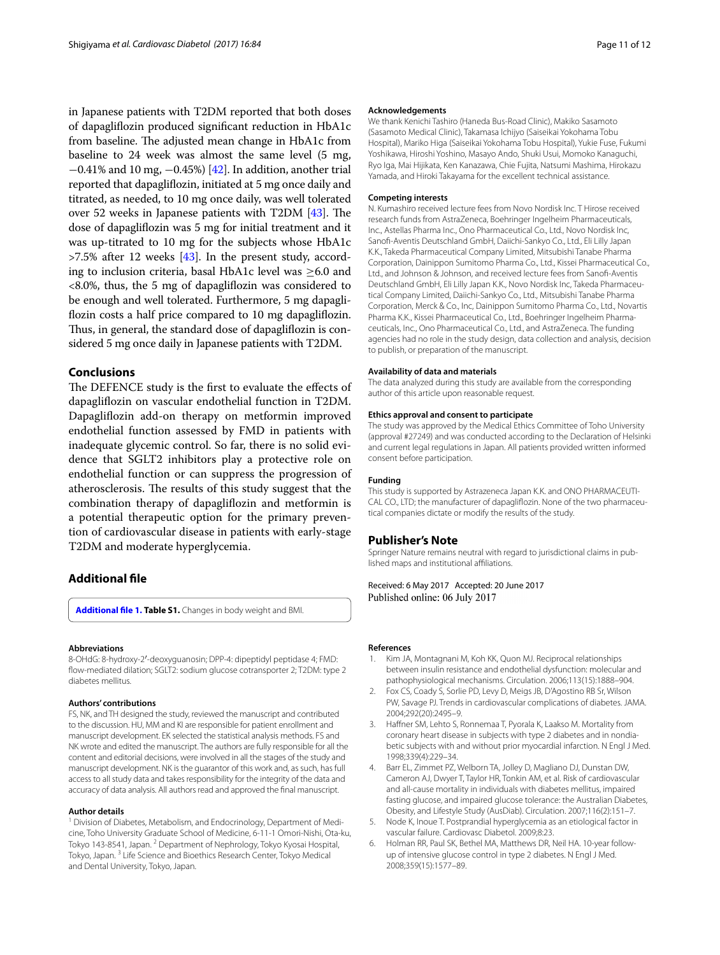in Japanese patients with T2DM reported that both doses of dapaglifozin produced signifcant reduction in HbA1c from baseline. The adjusted mean change in HbA1c from baseline to 24 week was almost the same level (5 mg, −0.41% and 10 mg, −0.45%) [\[42\]](#page-11-32). In addition, another trial reported that dapaglifozin, initiated at 5 mg once daily and titrated, as needed, to 10 mg once daily, was well tolerated over 52 weeks in Japanese patients with T2DM  $[43]$ . The dose of dapaglifozin was 5 mg for initial treatment and it was up-titrated to 10 mg for the subjects whose HbA1c  $>7.5\%$  after 12 weeks [[43](#page-11-33)]. In the present study, according to inclusion criteria, basal HbA1c level was ≥6.0 and <8.0%, thus, the 5 mg of dapaglifozin was considered to be enough and well tolerated. Furthermore, 5 mg dapaglifozin costs a half price compared to 10 mg dapaglifozin. Thus, in general, the standard dose of dapagliflozin is considered 5 mg once daily in Japanese patients with T2DM.

## **Conclusions**

The DEFENCE study is the first to evaluate the effects of dapaglifozin on vascular endothelial function in T2DM. Dapaglifozin add-on therapy on metformin improved endothelial function assessed by FMD in patients with inadequate glycemic control. So far, there is no solid evidence that SGLT2 inhibitors play a protective role on endothelial function or can suppress the progression of atherosclerosis. The results of this study suggest that the combination therapy of dapaglifozin and metformin is a potential therapeutic option for the primary prevention of cardiovascular disease in patients with early-stage T2DM and moderate hyperglycemia.

# **Additional fle**

<span id="page-10-6"></span>**[Additional fle 1.](http://dx.doi.org/10.1186/s12933-017-0564-0) Table S1.** Changes in body weight and BMI.

#### **Abbreviations**

8-OHdG: 8-hydroxy-2′-deoxyguanosin; DPP-4: dipeptidyl peptidase 4; FMD: fow-mediated dilation; SGLT2: sodium glucose cotransporter 2; T2DM: type 2 diabetes mellitus.

#### **Authors' contributions**

FS, NK, and TH designed the study, reviewed the manuscript and contributed to the discussion. HU, MM and KI are responsible for patient enrollment and manuscript development. EK selected the statistical analysis methods. FS and NK wrote and edited the manuscript. The authors are fully responsible for all the content and editorial decisions, were involved in all the stages of the study and manuscript development. NK is the guarantor of this work and, as such, has full access to all study data and takes responsibility for the integrity of the data and accuracy of data analysis. All authors read and approved the fnal manuscript.

#### **Author details**

<sup>1</sup> Division of Diabetes, Metabolism, and Endocrinology, Department of Medicine, Toho University Graduate School of Medicine, 6-11-1 Omori-Nishi, Ota-ku, Tokyo 143-8541, Japan. <sup>2</sup> Department of Nephrology, Tokyo Kyosai Hospital, Tokyo, Japan. 3 Life Science and Bioethics Research Center, Tokyo Medical and Dental University, Tokyo, Japan.

#### **Acknowledgements**

We thank Kenichi Tashiro (Haneda Bus-Road Clinic), Makiko Sasamoto (Sasamoto Medical Clinic), Takamasa Ichijyo (Saiseikai Yokohama Tobu Hospital), Mariko Higa (Saiseikai Yokohama Tobu Hospital), Yukie Fuse, Fukumi Yoshikawa, Hiroshi Yoshino, Masayo Ando, Shuki Usui, Momoko Kanaguchi, Ryo Iga, Mai Hijikata, Ken Kanazawa, Chie Fujita, Natsumi Mashima, Hirokazu Yamada, and Hiroki Takayama for the excellent technical assistance.

#### **Competing interests**

N. Kumashiro received lecture fees from Novo Nordisk Inc. T Hirose received research funds from AstraZeneca, Boehringer Ingelheim Pharmaceuticals, Inc., Astellas Pharma Inc., Ono Pharmaceutical Co., Ltd., Novo Nordisk Inc, Sanof-Aventis Deutschland GmbH, Daiichi-Sankyo Co., Ltd., Eli Lilly Japan K.K., Takeda Pharmaceutical Company Limited, Mitsubishi Tanabe Pharma Corporation, Dainippon Sumitomo Pharma Co., Ltd., Kissei Pharmaceutical Co., Ltd., and Johnson & Johnson, and received lecture fees from Sanof-Aventis Deutschland GmbH, Eli Lilly Japan K.K., Novo Nordisk Inc, Takeda Pharmaceutical Company Limited, Daiichi-Sankyo Co., Ltd., Mitsubishi Tanabe Pharma Corporation, Merck & Co., Inc, Dainippon Sumitomo Pharma Co., Ltd., Novartis Pharma K.K., Kissei Pharmaceutical Co., Ltd., Boehringer Ingelheim Pharmaceuticals, Inc., Ono Pharmaceutical Co., Ltd., and AstraZeneca. The funding agencies had no role in the study design, data collection and analysis, decision to publish, or preparation of the manuscript.

#### **Availability of data and materials**

The data analyzed during this study are available from the corresponding author of this article upon reasonable request.

#### **Ethics approval and consent to participate**

The study was approved by the Medical Ethics Committee of Toho University (approval #27249) and was conducted according to the Declaration of Helsinki and current legal regulations in Japan. All patients provided written informed consent before participation.

#### **Funding**

This study is supported by Astrazeneca Japan K.K. and ONO PHARMACEUTI-CAL CO., LTD; the manufacturer of dapaglifozin. None of the two pharmaceutical companies dictate or modify the results of the study.

#### **Publisher's Note**

Springer Nature remains neutral with regard to jurisdictional claims in published maps and institutional afliations.

Received: 6 May 2017 Accepted: 20 June 2017 Published online: 06 July 2017

#### **References**

- <span id="page-10-0"></span>Kim JA, Montagnani M, Koh KK, Quon MJ. Reciprocal relationships between insulin resistance and endothelial dysfunction: molecular and pathophysiological mechanisms. Circulation. 2006;113(15):1888–904.
- <span id="page-10-1"></span>2. Fox CS, Coady S, Sorlie PD, Levy D, Meigs JB, D'Agostino RB Sr, Wilson PW, Savage PJ. Trends in cardiovascular complications of diabetes. JAMA. 2004;292(20):2495–9.
- <span id="page-10-2"></span>3. Hafner SM, Lehto S, Ronnemaa T, Pyorala K, Laakso M. Mortality from coronary heart disease in subjects with type 2 diabetes and in nondiabetic subjects with and without prior myocardial infarction. N Engl J Med. 1998;339(4):229–34.
- <span id="page-10-3"></span>4. Barr EL, Zimmet PZ, Welborn TA, Jolley D, Magliano DJ, Dunstan DW, Cameron AJ, Dwyer T, Taylor HR, Tonkin AM, et al. Risk of cardiovascular and all-cause mortality in individuals with diabetes mellitus, impaired fasting glucose, and impaired glucose tolerance: the Australian Diabetes, Obesity, and Lifestyle Study (AusDiab). Circulation. 2007;116(2):151–7.
- <span id="page-10-4"></span>5. Node K, Inoue T. Postprandial hyperglycemia as an etiological factor in vascular failure. Cardiovasc Diabetol. 2009;8:23.
- <span id="page-10-5"></span>6. Holman RR, Paul SK, Bethel MA, Matthews DR, Neil HA. 10-year followup of intensive glucose control in type 2 diabetes. N Engl J Med. 2008;359(15):1577–89.